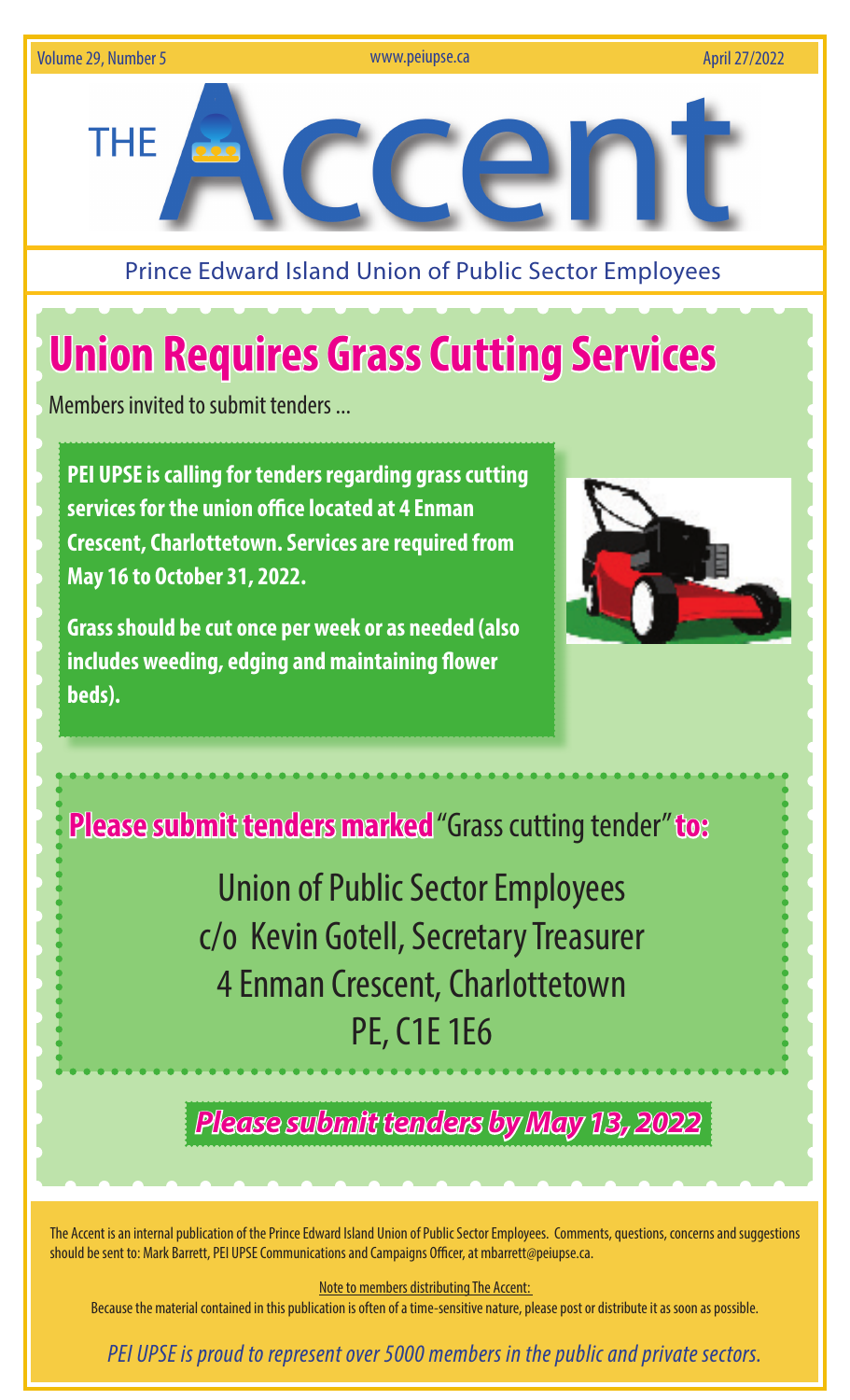

Prince Edward Island Union of Public Sector Employees

## **Union Requires Grass Cutting Services**

Members invited to submit tenders ...

**PEI UPSE is calling for tenders regarding grass cutting servicesfor the union office located at 4 Enman Crescent, Charlottetown. Services are required from May 16 to October 31, 2022.** 

**Grass should be cut once per week or as needed (also includes weeding, edging and maintaining flower beds).** 



**Please submit tenders marked** "Grass cutting tender" **to:**

Union of Public Sector Employees c/o Kevin Gotell, Secretary Treasurer 4 Enman Crescent, Charlottetown PE, C1E 1E6

*Please submit tenders by May 13, 2022*

The Accent is an internal publication of the Prince Edward Island Union of Public Sector Employees. Comments, questions, concerns and suggestions should be sent to: Mark Barrett, PEI UPSE Communications and Campaigns Officer, at mbarrett@peiupse.ca.

Note to members distributing The Accent:

Because the material contained in this publication is often of a time-sensitive nature, please post or distribute it as soon as possible.

 *PEI UPSE is proud to represent over 5000 members in the public and private sectors.*